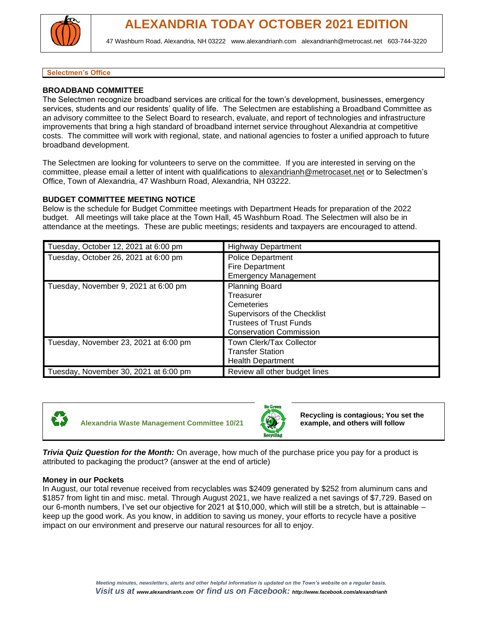

47 Washburn Road, Alexandria, NH 03222 [www.alexandrianh.com](http://www.alexandrianh.com/) [alexandrianh@metrocast.net](mailto:alexandrianh@metrocast.net) 603-744-3220

#### **Selectmen's Office**

## **BROADBAND COMMITTEE**

The Selectmen recognize broadband services are critical for the town's development, businesses, emergency services, students and our residents' quality of life. The Selectmen are establishing a Broadband Committee as an advisory committee to the Select Board to research, evaluate, and report of technologies and infrastructure improvements that bring a high standard of broadband internet service throughout Alexandria at competitive costs. The committee will work with regional, state, and national agencies to foster a unified approach to future broadband development.

The Selectmen are looking for volunteers to serve on the committee. If you are interested in serving on the committee, please email a letter of intent with qualifications to [alexandrianh@metrocaset.net](mailto:alexandrianh@metrocaset.net) or to Selectmen's Office, Town of Alexandria, 47 Washburn Road, Alexandria, NH 03222.

## **BUDGET COMMITTEE MEETING NOTICE**

Below is the schedule for Budget Committee meetings with Department Heads for preparation of the 2022 budget. All meetings will take place at the Town Hall, 45 Washburn Road. The Selectmen will also be in attendance at the meetings. These are public meetings; residents and taxpayers are encouraged to attend.

| Tuesday, October 12, 2021 at 6:00 pm  | <b>Highway Department</b>                                                                                                                            |
|---------------------------------------|------------------------------------------------------------------------------------------------------------------------------------------------------|
| Tuesday, October 26, 2021 at 6:00 pm  | <b>Police Department</b><br>Fire Department<br><b>Emergency Management</b>                                                                           |
| Tuesday, November 9, 2021 at 6:00 pm  | <b>Planning Board</b><br>Treasurer<br>Cemeteries<br>Supervisors of the Checklist<br><b>Trustees of Trust Funds</b><br><b>Conservation Commission</b> |
| Tuesday, November 23, 2021 at 6:00 pm | <b>Town Clerk/Tax Collector</b><br><b>Transfer Station</b><br><b>Health Department</b>                                                               |
| Tuesday, November 30, 2021 at 6:00 pm | Review all other budget lines                                                                                                                        |



**Alexandria Waste Management Committee 10/21** 



**Recycling is contagious; You set the example, and others will follow**

*Trivia Quiz Question for the Month:* On average, how much of the purchase price you pay for a product is attributed to packaging the product? (answer at the end of article)

#### **Money in our Pockets**

In August, our total revenue received from recyclables was \$2409 generated by \$252 from aluminum cans and \$1857 from light tin and misc. metal. Through August 2021, we have realized a net savings of \$7,729. Based on our 6-month numbers, I've set our objective for 2021 at \$10,000, which will still be a stretch, but is attainable – keep up the good work. As you know, in addition to saving us money, your efforts to recycle have a positive impact on our environment and preserve our natural resources for all to enjoy.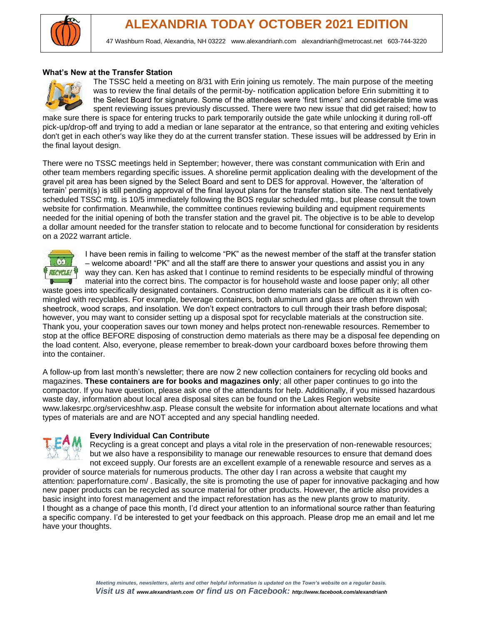

47 Washburn Road, Alexandria, NH 03222 [www.alexandrianh.com](http://www.alexandrianh.com/) [alexandrianh@metrocast.net](mailto:alexandrianh@metrocast.net) 603-744-3220

### **What's New at the Transfer Station**



The TSSC held a meeting on 8/31 with Erin joining us remotely. The main purpose of the meeting was to review the final details of the permit-by- notification application before Erin submitting it to the Select Board for signature. Some of the attendees were 'first timers' and considerable time was spent reviewing issues previously discussed. There were two new issue that did get raised; how to

make sure there is space for entering trucks to park temporarily outside the gate while unlocking it during roll-off pick-up/drop-off and trying to add a median or lane separator at the entrance, so that entering and exiting vehicles don't get in each other's way like they do at the current transfer station. These issues will be addressed by Erin in the final layout design.

There were no TSSC meetings held in September; however, there was constant communication with Erin and other team members regarding specific issues. A shoreline permit application dealing with the development of the gravel pit area has been signed by the Select Board and sent to DES for approval. However, the 'alteration of terrain' permit(s) is still pending approval of the final layout plans for the transfer station site. The next tentatively scheduled TSSC mtg. is 10/5 immediately following the BOS regular scheduled mtg., but please consult the town website for confirmation. Meanwhile, the committee continues reviewing building and equipment requirements needed for the initial opening of both the transfer station and the gravel pit. The objective is to be able to develop a dollar amount needed for the transfer station to relocate and to become functional for consideration by residents on a 2022 warrant article.



I have been remis in failing to welcome "PK" as the newest member of the staff at the transfer station – welcome aboard! "PK" and all the staff are there to answer your questions and assist you in any way they can. Ken has asked that I continue to remind residents to be especially mindful of throwing material into the correct bins. The compactor is for household waste and loose paper only; all other

waste goes into specifically designated containers. Construction demo materials can be difficult as it is often comingled with recyclables. For example, beverage containers, both aluminum and glass are often thrown with sheetrock, wood scraps, and insolation. We don't expect contractors to cull through their trash before disposal; however, you may want to consider setting up a disposal spot for recyclable materials at the construction site. Thank you, your cooperation saves our town money and helps protect non-renewable resources. Remember to stop at the office BEFORE disposing of construction demo materials as there may be a disposal fee depending on the load content. Also, everyone, please remember to break-down your cardboard boxes before throwing them into the container.

A follow-up from last month's newsletter; there are now 2 new collection containers for recycling old books and magazines. **These containers are for books and magazines only**; all other paper continues to go into the compactor. If you have question, please ask one of the attendants for help. Additionally, if you missed hazardous waste day, information about local area disposal sites can be found on the Lakes Region website www.lakesrpc.org/serviceshhw.asp. Please consult the website for information about alternate locations and what types of materials are and are NOT accepted and any special handling needed.



## **Every Individual Can Contribute**

Recycling is a great concept and plays a vital role in the preservation of non-renewable resources; but we also have a responsibility to manage our renewable resources to ensure that demand does not exceed supply. Our forests are an excellent example of a renewable resource and serves as a

provider of source materials for numerous products. The other day I ran across a website that caught my attention: paperfornature.com/ . Basically, the site is promoting the use of paper for innovative packaging and how new paper products can be recycled as source material for other products. However, the article also provides a basic insight into forest management and the impact reforestation has as the new plants grow to maturity. I thought as a change of pace this month, I'd direct your attention to an informational source rather than featuring a specific company. I'd be interested to get your feedback on this approach. Please drop me an email and let me have your thoughts.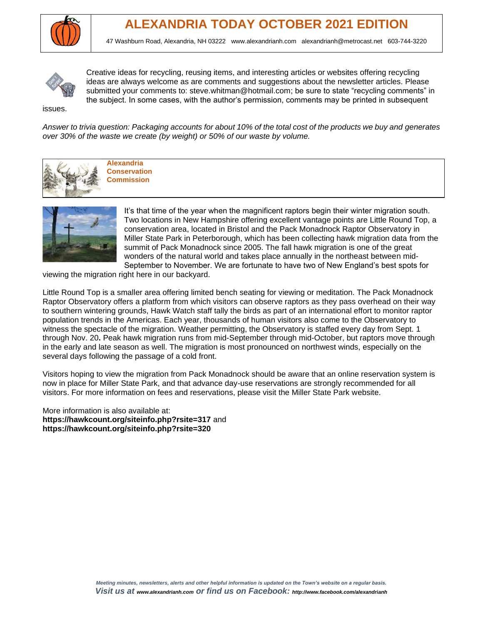

47 Washburn Road, Alexandria, NH 03222 [www.alexandrianh.com](http://www.alexandrianh.com/) [alexandrianh@metrocast.net](mailto:alexandrianh@metrocast.net) 603-744-3220

Creative ideas for recycling, reusing items, and interesting articles or websites offering recycling ideas are always welcome as are comments and suggestions about the newsletter articles. Please submitted your comments to: steve.whitman@hotmail.com; be sure to state "recycling comments" in the subject. In some cases, with the author's permission, comments may be printed in subsequent

issues.

*Answer to trivia question: Packaging accounts for about 10% of the total cost of the products we buy and generates over 30% of the waste we create (by weight) or 50% of our waste by volume.*



**Alexandria Conservation Commission**



It's that time of the year when the magnificent raptors begin their winter migration south. Two locations in New Hampshire offering excellent vantage points are Little Round Top, a conservation area, located in Bristol and the Pack Monadnock Raptor Observatory in Miller State Park in Peterborough, which has been collecting hawk migration data from the summit of Pack Monadnock since 2005. The fall hawk migration is one of the great wonders of the natural world and takes place annually in the northeast between mid-September to November. We are fortunate to have two of New England's best spots for

viewing the migration right here in our backyard.

Little Round Top is a smaller area offering limited bench seating for viewing or meditation. The Pack Monadnock Raptor Observatory offers a platform from which visitors can observe raptors as they pass overhead on their way to southern wintering grounds, Hawk Watch staff tally the birds as part of an international effort to monitor raptor population trends in the Americas. Each year, thousands of human visitors also come to the Observatory to witness the spectacle of the migration. Weather permitting, the Observatory is staffed every day from Sept. 1 through Nov. 20**.** Peak hawk migration runs from mid-September through mid-October, but raptors move through in the early and late season as well. The migration is most pronounced on northwest winds, especially on the several days following the passage of a cold front.

Visitors hoping to view the migration from Pack Monadnock should be aware that an online reservation system is now in place for Miller State Park, and that advance day-use reservations are strongly recommended for all visitors. For more information on fees and reservations, please visit the Miller State Park website.

More information is also available at: **https://hawkcount.org/siteinfo.php?rsite=317** and **https://hawkcount.org/siteinfo.php?rsite=320**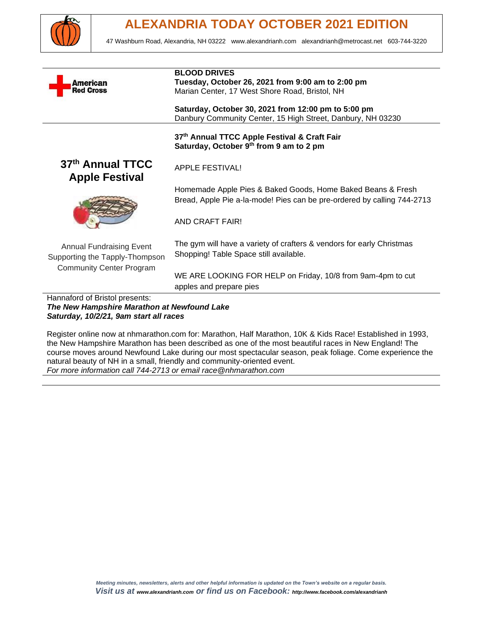

# **ALEXANDRIA TODAY OCTOBER 2021 EDITION**

47 Washburn Road, Alexandria, NH 03222 [www.alexandrianh.com](http://www.alexandrianh.com/) [alexandrianh@metrocast.net](mailto:alexandrianh@metrocast.net) 603-744-3220



Register online now at nhmarathon.com for: Marathon, Half Marathon, 10K & Kids Race! Established in 1993, the New Hampshire Marathon has been described as one of the most beautiful races in New England! The course moves around Newfound Lake during our most spectacular season, peak foliage. Come experience the natural beauty of NH in a small, friendly and community-oriented event.

*For more information call 744-2713 or email race@nhmarathon.com*